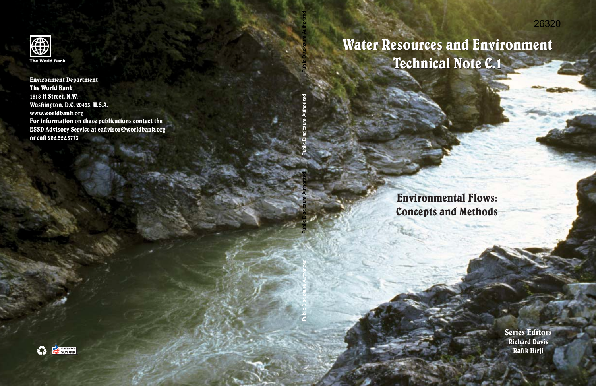## Water Resources and Environment Water Resources and Environment Technical Note C.1 Technical Note C.1

Environmental Flows: Concepts and Methods

> Se**ri**es Editors<br>Richard Davis Richard Davis Rafik Hirji Rafik Hirji

Public Disclosure Authorized

**Public Disclosure Authorized**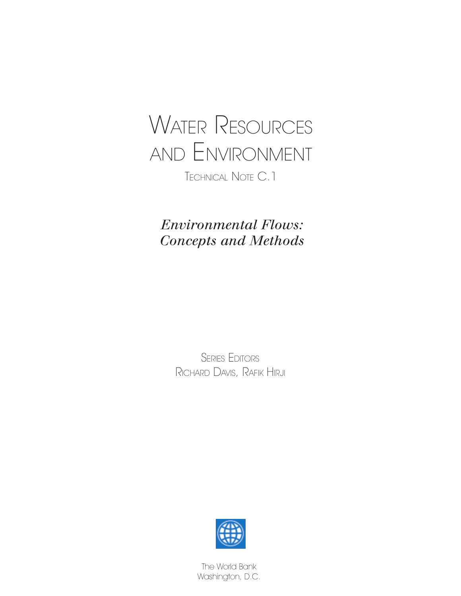

*Environmental Flows: Concepts and Methods*

> SERIES EDITORS RICHARD DAVIS, RAFIK HIRJI



The World Bank Washington, D.C.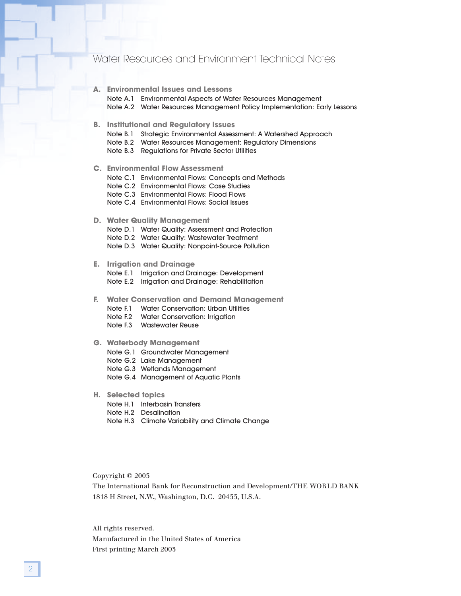### Water Resources and Environment Technical Notes

| <b>Environmental Issues and Lessons</b> | А. |  |  |  |  |  |  |
|-----------------------------------------|----|--|--|--|--|--|--|
|-----------------------------------------|----|--|--|--|--|--|--|

Note A.1 Environmental Aspects of Water Resources Management

Note A.2 Water Resources Management Policy Implementation: Early Lessons

#### **B. Institutional and Regulatory Issues**

Note B.1 Strategic Environmental Assessment: A Watershed Approach

Note B.2 Water Resources Management: Regulatory Dimensions

Note B.3 Regulations for Private Sector Utilities

#### **C. Environmental Flow Assessment**

Note C.1 Environmental Flows: Concepts and Methods

Note C.2 Environmental Flows: Case Studies

Note C.3 Environmental Flows: Flood Flows

Note C.4 Environmental Flows: Social Issues

#### **D. Water Quality Management**

Note D.1 Water Quality: Assessment and Protection

Note D.2 Water Quality: Wastewater Treatment

Note D.3 Water Quality: Nonpoint-Source Pollution

#### **E. Irrigation and Drainage**

Note E.1 Irrigation and Drainage: Development

Note E.2 Irrigation and Drainage: Rehabilitation

#### **F. Water Conservation and Demand Management**

Note F.1 Water Conservation: Urban Utilities

Note F.2 Water Conservation: Irrigation

Note F.3 Wastewater Reuse

#### **G. Waterbody Management**

Note G.1 Groundwater Management

Note G.2 Lake Management

Note G.3 Wetlands Management

- Note G.4 Management of Aquatic Plants
- **H. Selected topics**
	- Note H.1 Interbasin Transfers
	- Note H.2 Desalination
	- Note H.3 Climate Variability and Climate Change

Copyright © 2003

The International Bank for Reconstruction and Development/THE WORLD BANK 1818 H Street, N.W., Washington, D.C. 20433, U.S.A.

All rights reserved. Manufactured in the United States of America

First printing March 2003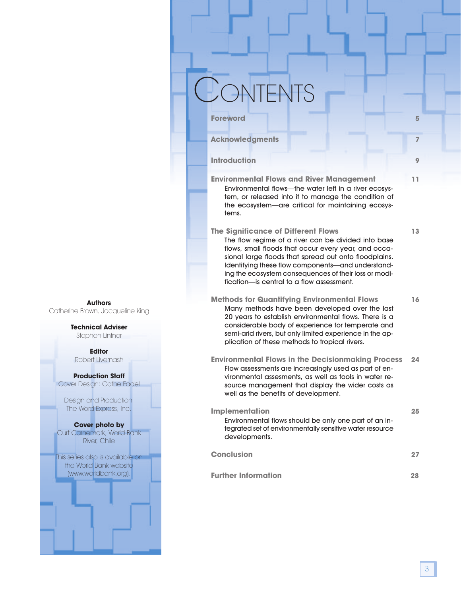# **ONTENTS**

**Acknowledgments 7**

**Environmental Flows and River Management 11** Environmental flows—the water left in a river ecosystem, or released into it to manage the condition of the ecosystem—are critical for maintaining ecosystems.

**Foreword 5**

**Introduction 9** 

### **The Significance of Different Flows 13**

The flow regime of a river can be divided into base flows, small floods that occur every year, and occasional large floods that spread out onto floodplains. Identifying these flow components—and understanding the ecosystem consequences of their loss or modification—is central to a flow assessment.

- **Methods for Quantifying Environmental Flows 16** Many methods have been developed over the last 20 years to establish environmental flows. There is a considerable body of experience for temperate and semi-arid rivers, but only limited experience in the application of these methods to tropical rivers.
- **Environmental Flows in the Decisionmaking Process 24** Flow assessments are increasingly used as part of environmental assesments, as well as tools in water resource management that display the wider costs as well as the benefits of development.

| <b>Implementation</b>                                                                                                              | 25 |
|------------------------------------------------------------------------------------------------------------------------------------|----|
| Environmental flows should be only one part of an in-<br>tegrated set of environmentally sensitive water resource<br>developments. |    |
| Conclusion                                                                                                                         |    |

**Further Information 28**

**Authors** Catherine Brown, Jacqueline King

### **Technical Adviser**

Stephen Lintner

**Editor** Robert Livernash

#### **Production Staff** Cover Design: Cathe Fadel

Design and Production: The Word Express, Inc.

### **Cover photo by**

Curt Carnemark, World Bank River, Chile

This series also is available on the World Bank website (www.worldbank.org).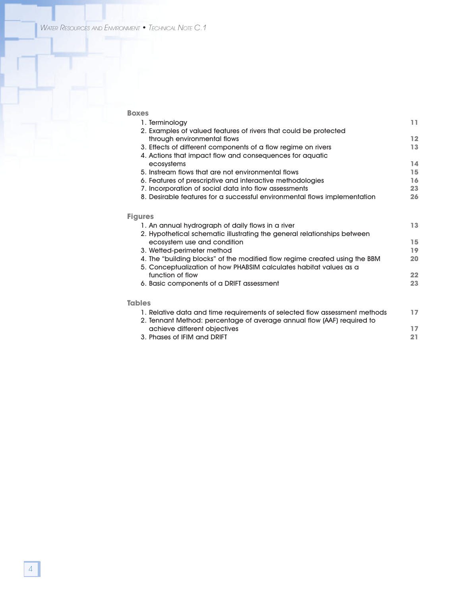| <b>Boxes</b>                                                               |    |
|----------------------------------------------------------------------------|----|
| 1. Terminology                                                             | 11 |
| 2. Examples of valued features of rivers that could be protected           |    |
| through environmental flows                                                | 12 |
| 3. Effects of different components of a flow regime on rivers              | 13 |
| 4. Actions that impact flow and consequences for aquatic                   |    |
| ecosystems                                                                 | 14 |
| 5. Instream flows that are not environmental flows                         | 15 |
| 6. Features of prescriptive and interactive methodologies                  | 16 |
| 7. Incorporation of social data into flow assessments                      | 23 |
| 8. Desirable features for a successful environmental flows implementation  | 26 |
| <b>Figures</b>                                                             |    |
| 1. An annual hydrograph of daily flows in a river                          | 13 |
| 2. Hypothetical schematic illustrating the general relationships between   |    |
| ecosystem use and condition                                                | 15 |
| 3. Wetted-perimeter method                                                 | 19 |
| 4. The "building blocks" of the modified flow regime created using the BBM | 20 |
| 5. Conceptualization of how PHABSIM calculates habitat values as a         |    |
| function of flow                                                           | 22 |
| 6. Basic components of a DRIFT assessment                                  | 23 |
| <b>Tables</b>                                                              |    |
|                                                                            | 17 |
| 1. Relative data and time requirements of selected flow assessment methods |    |
| 2. Tennant Method: percentage of average annual flow (AAF) required to     | 17 |
| achieve different objectives<br>3. Phases of IFIM and DRIFT                | 21 |
|                                                                            |    |
|                                                                            |    |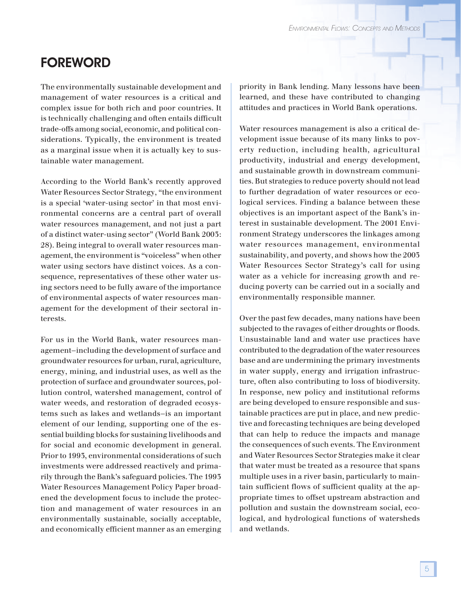### FOREWORD

The environmentally sustainable development and management of water resources is a critical and complex issue for both rich and poor countries. It is technically challenging and often entails difficult trade-offs among social, economic, and political considerations. Typically, the environment is treated as a marginal issue when it is actually key to sustainable water management.

According to the World Bank's recently approved Water Resources Sector Strategy, "the environment is a special 'water-using sector' in that most environmental concerns are a central part of overall water resources management, and not just a part of a distinct water-using sector" (World Bank 2003: 28). Being integral to overall water resources management, the environment is "voiceless" when other water using sectors have distinct voices. As a consequence, representatives of these other water using sectors need to be fully aware of the importance of environmental aspects of water resources management for the development of their sectoral interests.

For us in the World Bank, water resources management—including the development of surface and groundwater resources for urban, rural, agriculture, energy, mining, and industrial uses, as well as the protection of surface and groundwater sources, pollution control, watershed management, control of water weeds, and restoration of degraded ecosystems such as lakes and wetlands—is an important element of our lending, supporting one of the essential building blocks for sustaining livelihoods and for social and economic development in general. Prior to 1993, environmental considerations of such investments were addressed reactively and primarily through the Bank's safeguard policies. The 1993 Water Resources Management Policy Paper broadened the development focus to include the protection and management of water resources in an environmentally sustainable, socially acceptable, and economically efficient manner as an emerging

priority in Bank lending. Many lessons have been learned, and these have contributed to changing attitudes and practices in World Bank operations.

Water resources management is also a critical development issue because of its many links to poverty reduction, including health, agricultural productivity, industrial and energy development, and sustainable growth in downstream communities. But strategies to reduce poverty should not lead to further degradation of water resources or ecological services. Finding a balance between these objectives is an important aspect of the Bank's interest in sustainable development. The 2001 Environment Strategy underscores the linkages among water resources management, environmental sustainability, and poverty, and shows how the 2003 Water Resources Sector Strategy's call for using water as a vehicle for increasing growth and reducing poverty can be carried out in a socially and environmentally responsible manner.

Over the past few decades, many nations have been subjected to the ravages of either droughts or floods. Unsustainable land and water use practices have contributed to the degradation of the water resources base and are undermining the primary investments in water supply, energy and irrigation infrastructure, often also contributing to loss of biodiversity. In response, new policy and institutional reforms are being developed to ensure responsible and sustainable practices are put in place, and new predictive and forecasting techniques are being developed that can help to reduce the impacts and manage the consequences of such events. The Environment and Water Resources Sector Strategies make it clear that water must be treated as a resource that spans multiple uses in a river basin, particularly to maintain sufficient flows of sufficient quality at the appropriate times to offset upstream abstraction and pollution and sustain the downstream social, ecological, and hydrological functions of watersheds and wetlands.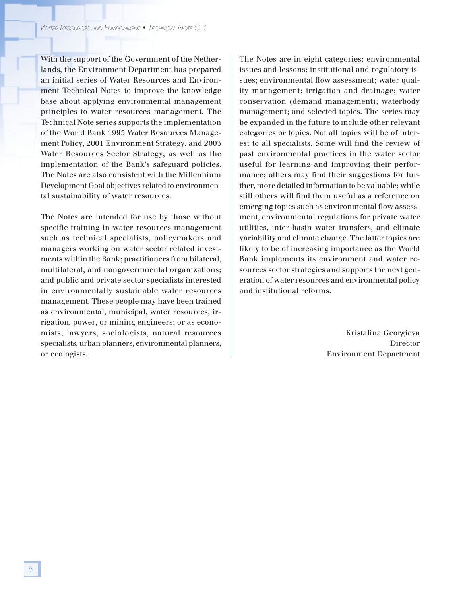With the support of the Government of the Netherlands, the Environment Department has prepared an initial series of Water Resources and Environment Technical Notes to improve the knowledge base about applying environmental management principles to water resources management. The Technical Note series supports the implementation of the World Bank 1993 Water Resources Management Policy, 2001 Environment Strategy, and 2003 Water Resources Sector Strategy, as well as the implementation of the Bank's safeguard policies. The Notes are also consistent with the Millennium Development Goal objectives related to environmental sustainability of water resources.

The Notes are intended for use by those without specific training in water resources management such as technical specialists, policymakers and managers working on water sector related investments within the Bank; practitioners from bilateral, multilateral, and nongovernmental organizations; and public and private sector specialists interested in environmentally sustainable water resources management. These people may have been trained as environmental, municipal, water resources, irrigation, power, or mining engineers; or as economists, lawyers, sociologists, natural resources specialists, urban planners, environmental planners, or ecologists.

The Notes are in eight categories: environmental issues and lessons; institutional and regulatory issues; environmental flow assessment; water quality management; irrigation and drainage; water conservation (demand management); waterbody management; and selected topics. The series may be expanded in the future to include other relevant categories or topics. Not all topics will be of interest to all specialists. Some will find the review of past environmental practices in the water sector useful for learning and improving their performance; others may find their suggestions for further, more detailed information to be valuable; while still others will find them useful as a reference on emerging topics such as environmental flow assessment, environmental regulations for private water utilities, inter-basin water transfers, and climate variability and climate change. The latter topics are likely to be of increasing importance as the World Bank implements its environment and water resources sector strategies and supports the next generation of water resources and environmental policy and institutional reforms.

> Kristalina Georgieva Director Environment Department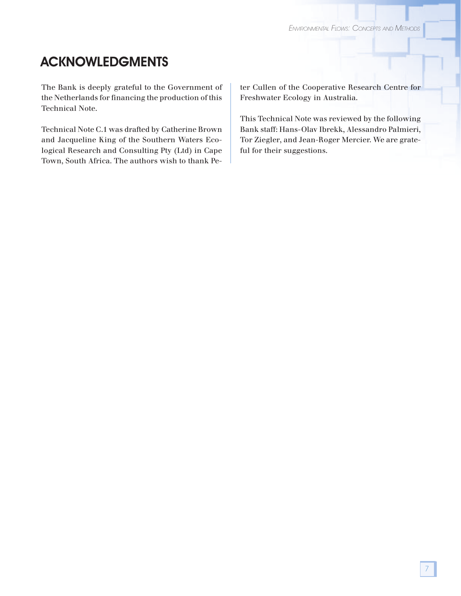### ACKNOWLEDGMENTS

The Bank is deeply grateful to the Government of the Netherlands for financing the production of this Technical Note.

Technical Note C.1 was drafted by Catherine Brown and Jacqueline King of the Southern Waters Ecological Research and Consulting Pty (Ltd) in Cape Town, South Africa. The authors wish to thank Peter Cullen of the Cooperative Research Centre for Freshwater Ecology in Australia.

This Technical Note was reviewed by the following Bank staff: Hans-Olav Ibrekk, Alessandro Palmieri, Tor Ziegler, and Jean-Roger Mercier. We are grateful for their suggestions.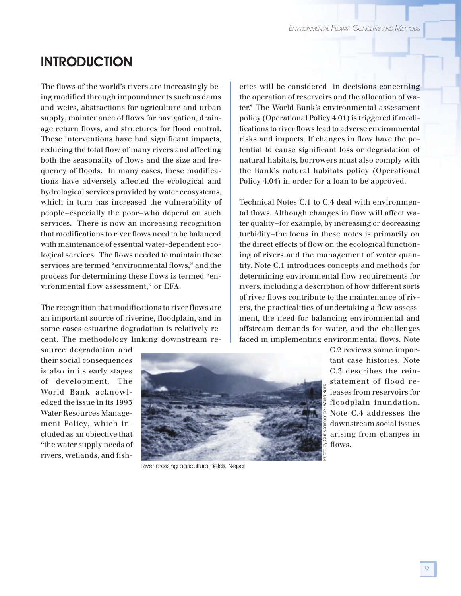### **INTRODUCTION**

The flows of the world's rivers are increasingly being modified through impoundments such as dams and weirs, abstractions for agriculture and urban supply, maintenance of flows for navigation, drainage return flows, and structures for flood control. These interventions have had significant impacts, reducing the total flow of many rivers and affecting both the seasonality of flows and the size and frequency of floods. In many cases, these modifications have adversely affected the ecological and hydrological services provided by water ecosystems, which in turn has increased the vulnerability of people—especially the poor—who depend on such services. There is now an increasing recognition that modifications to river flows need to be balanced with maintenance of essential water-dependent ecological services. The flows needed to maintain these services are termed "environmental flows," and the process for determining these flows is termed "environmental flow assessment," or EFA.

The recognition that modifications to river flows are an important source of riverine, floodplain, and in some cases estuarine degradation is relatively recent. The methodology linking downstream re-

source degradation and their social consequences is also in its early stages of development. The World Bank acknowledged the issue in its 1993 Water Resources Management Policy, which included as an objective that "the water supply needs of rivers, wetlands, and fisheries will be considered in decisions concerning the operation of reservoirs and the allocation of water." The World Bank's environmental assessment policy (Operational Policy 4.01) is triggered if modifications to river flows lead to adverse environmental risks and impacts. If changes in flow have the potential to cause significant loss or degradation of natural habitats, borrowers must also comply with the Bank's natural habitats policy (Operational Policy 4.04) in order for a loan to be approved.

Technical Notes C.1 to C.4 deal with environmental flows. Although changes in flow will affect water quality—for example, by increasing or decreasing turbidity—the focus in these notes is primarily on the direct effects of flow on the ecological functioning of rivers and the management of water quantity. Note C.1 introduces concepts and methods for determining environmental flow requirements for rivers, including a description of how different sorts of river flows contribute to the maintenance of rivers, the practicalities of undertaking a flow assessment, the need for balancing environmental and offstream demands for water, and the challenges faced in implementing environmental flows. Note



River crossing agricultural fields, Nepal

C.2 reviews some important case histories. Note C.3 describes the reinstatement of flood releases from reservoirs for floodplain inundation. Note C.4 addresses the downstream social issues arising from changes in flows.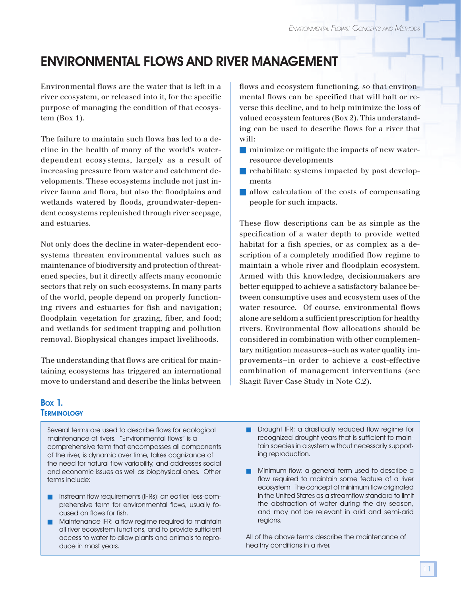## ENVIRONMENTAL FLOWS AND RIVER MANAGEMENT

Environmental flows are the water that is left in a river ecosystem, or released into it, for the specific purpose of managing the condition of that ecosystem (Box 1).

The failure to maintain such flows has led to a decline in the health of many of the world's waterdependent ecosystems, largely as a result of increasing pressure from water and catchment developments. These ecosystems include not just inriver fauna and flora, but also the floodplains and wetlands watered by floods, groundwater-dependent ecosystems replenished through river seepage, and estuaries.

Not only does the decline in water-dependent ecosystems threaten environmental values such as maintenance of biodiversity and protection of threatened species, but it directly affects many economic sectors that rely on such ecosystems. In many parts of the world, people depend on properly functioning rivers and estuaries for fish and navigation; floodplain vegetation for grazing, fiber, and food; and wetlands for sediment trapping and pollution removal. Biophysical changes impact livelihoods.

The understanding that flows are critical for maintaining ecosystems has triggered an international move to understand and describe the links between

flows and ecosystem functioning, so that environmental flows can be specified that will halt or reverse this decline, and to help minimize the loss of valued ecosystem features (Box 2). This understanding can be used to describe flows for a river that will:

- minimize or mitigate the impacts of new waterresource developments
- rehabilitate systems impacted by past developments
- allow calculation of the costs of compensating people for such impacts.

These flow descriptions can be as simple as the specification of a water depth to provide wetted habitat for a fish species, or as complex as a description of a completely modified flow regime to maintain a whole river and floodplain ecosystem. Armed with this knowledge, decisionmakers are better equipped to achieve a satisfactory balance between consumptive uses and ecosystem uses of the water resource. Of course, environmental flows alone are seldom a sufficient prescription for healthy rivers. Environmental flow allocations should be considered in combination with other complementary mitigation measures—such as water quality improvements—in order to achieve a cost-effective combination of management interventions (see Skagit River Case Study in Note C.2).

### BOX 1. **TERMINOLOGY**

Several terms are used to describe flows for ecological maintenance of rivers. "Environmental flows" is a comprehensive term that encompasses all components of the river, is dynamic over time, takes cognizance of the need for natural flow variability, and addresses social and economic issues as well as biophysical ones. Other terms include:

- Instream flow requirements (IFRs): an earlier, less-comprehensive term for environmental flows, usually focused on flows for fish.
- Maintenance IFR: a flow regime required to maintain all river ecosystem functions, and to provide sufficient access to water to allow plants and animals to reproduce in most years.
- Drought IFR: a drastically reduced flow regime for recognized drought years that is sufficient to maintain species in a system without necessarily supporting reproduction.
- Minimum flow: a general term used to describe a flow required to maintain some feature of a river ecosystem. The concept of minimum flow originated in the United States as a streamflow standard to limit the abstraction of water during the dry season, and may not be relevant in arid and semi-arid regions.

All of the above terms describe the maintenance of healthy conditions in a river.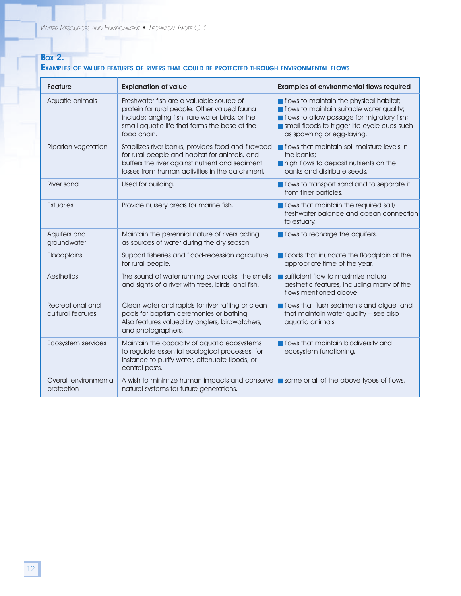### **Box 2.** EXAMPLES OF VALUED FEATURES OF RIVERS THAT COULD BE PROTECTED THROUGH ENVIRONMENTAL FLOWS

| <b>Feature</b>                        | <b>Explanation of value</b>                                                                                                                                                                                 | <b>Examples of environmental flows required</b>                                                                                                                                                                                    |
|---------------------------------------|-------------------------------------------------------------------------------------------------------------------------------------------------------------------------------------------------------------|------------------------------------------------------------------------------------------------------------------------------------------------------------------------------------------------------------------------------------|
| Aquatic animals                       | Freshwater fish are a valuable source of<br>protein for rural people. Other valued fauna<br>include: angling fish, rare water birds, or the<br>small aquatic life that forms the base of the<br>food chain. | flows to maintain the physical habitat;<br><b>n</b> flows to maintain suitable water quality;<br><b>n</b> flows to allow passage for migratory fish;<br>small floods to trigger life-cycle cues such<br>as spawning or egg-laying. |
| Riparian vegetation                   | Stabilizes river banks, provides food and firewood<br>for rural people and habitat for animals, and<br>buffers the river against nutrient and sediment<br>losses from human activities in the catchment.    | flows that maintain soil-moisture levels in<br>the banks:<br>high flows to deposit nutrients on the<br>banks and distribute seeds.                                                                                                 |
| <b>River sand</b>                     | Used for building.                                                                                                                                                                                          | flows to transport sand and to separate it<br>from finer particles.                                                                                                                                                                |
| <b>Estuaries</b>                      | Provide nursery areas for marine fish.                                                                                                                                                                      | flows that maintain the required salt/<br>freshwater balance and ocean connection<br>to estuary.                                                                                                                                   |
| Aquifers and<br>groundwater           | Maintain the perennial nature of rivers acting<br>as sources of water during the dry season.                                                                                                                | $\blacksquare$ flows to recharge the aquifers.                                                                                                                                                                                     |
| Floodplains                           | Support fisheries and flood-recession agriculture<br>for rural people.                                                                                                                                      | riloods that inundate the floodplain at the<br>appropriate time of the year.                                                                                                                                                       |
| Aesthetics                            | The sound of water running over rocks, the smells<br>and sights of a river with trees, birds, and fish.                                                                                                     | sufficient flow to maximize natural<br>aesthetic features, including many of the<br>flows mentioned above.                                                                                                                         |
| Recreational and<br>cultural features | Clean water and rapids for river rafting or clean<br>pools for baptism ceremonies or bathing.<br>Also features valued by anglers, birdwatchers,<br>and photographers.                                       | <b>n</b> flows that flush sediments and algae, and<br>that maintain water quality - see also<br>aquatic animals.                                                                                                                   |
| Ecosystem services                    | Maintain the capacity of aquatic ecosystems<br>to regulate essential ecological processes, for<br>instance to purify water, attenuate floods, or<br>control pests.                                          | flows that maintain biodiversity and<br>ecosystem functioning.                                                                                                                                                                     |
| Overall environmental<br>protection   | A wish to minimize human impacts and conserve some or all of the above types of flows.<br>natural systems for future generations.                                                                           |                                                                                                                                                                                                                                    |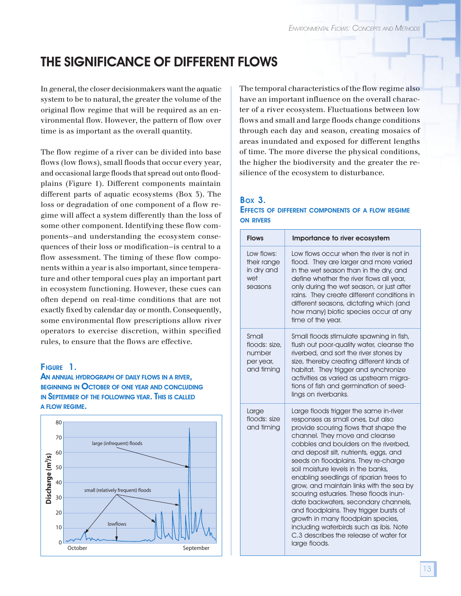## THE SIGNIFICANCE OF DIFFERENT FLOWS

In general, the closer decisionmakers want the aquatic system to be to natural, the greater the volume of the original flow regime that will be required as an environmental flow. However, the pattern of flow over time is as important as the overall quantity.

The flow regime of a river can be divided into base flows (low flows), small floods that occur every year, and occasional large floods that spread out onto floodplains (Figure 1). Different components maintain different parts of aquatic ecosystems (Box 3). The loss or degradation of one component of a flow regime will affect a system differently than the loss of some other component. Identifying these flow components—and understanding the ecosystem consequences of their loss or modification—is central to a flow assessment. The timing of these flow components within a year is also important, since temperature and other temporal cues play an important part in ecosystem functioning. However, these cues can often depend on real-time conditions that are not exactly fixed by calendar day or month. Consequently, some environmental flow prescriptions allow river operators to exercise discretion, within specified rules, to ensure that the flows are effective.

### FIGURE 1.

### AN ANNUAL HYDROGRAPH OF DAILY FLOWS IN <sup>A</sup> RIVER, BEGINNING IN OCTOBER OF ONE YEAR AND CONCLUDING IN SEPTEMBER OF THE FOLLOWING YEAR. THIS IS CALLED A FLOW REGIME.



The temporal characteristics of the flow regime also have an important influence on the overall character of a river ecosystem. Fluctuations between low flows and small and large floods change conditions through each day and season, creating mosaics of areas inundated and exposed for different lengths of time. The more diverse the physical conditions, the higher the biodiversity and the greater the resilience of the ecosystem to disturbance.

### BOX 3. EFFECTS OF DIFFERENT COMPONENTS OF <sup>A</sup> FLOW REGIME ON RIVERS

| <b>Flows</b>                                                | Importance to river ecosystem                                                                                                                                                                                                                                                                                                                                                                                                                                                                                                                                                                                                                                                           |
|-------------------------------------------------------------|-----------------------------------------------------------------------------------------------------------------------------------------------------------------------------------------------------------------------------------------------------------------------------------------------------------------------------------------------------------------------------------------------------------------------------------------------------------------------------------------------------------------------------------------------------------------------------------------------------------------------------------------------------------------------------------------|
| Low flows:<br>their range<br>in dry and<br>wet<br>seasons   | Low flows occur when the river is not in<br>flood. They are larger and more varied<br>in the wet season than in the dry, and<br>define whether the river flows all year,<br>only during the wet season, or just after<br>rains. They create different conditions in<br>different seasons, dictating which (and<br>how many) biotic species occur at any<br>time of the year.                                                                                                                                                                                                                                                                                                            |
| Small<br>floods: size.<br>number<br>per year,<br>and timing | Small floods stimulate spawning in fish,<br>flush out poor-quality water, cleanse the<br>riverbed, and sort the river stones by<br>size, thereby creating different kinds of<br>habitat. They trigger and synchronize<br>activities as varied as upstream migra-<br>tions of fish and germination of seed-<br>lings on riverbanks.                                                                                                                                                                                                                                                                                                                                                      |
| Large<br>floods: size<br>and timing                         | Large floods trigger the same in-river<br>responses as small ones, but also<br>provide scouring flows that shape the<br>channel. They move and cleanse<br>cobbles and boulders on the riverbed.<br>and deposit silt, nutrients, eggs, and<br>seeds on floodplains. They re-charge<br>soil moisture levels in the banks.<br>enabling seedlings of riparian trees to<br>grow, and maintain links with the sea by<br>scouring estuaries. These floods inun-<br>date backwaters, secondary channels,<br>and floodplains. They trigger bursts of<br>growth in many floodplain species,<br>including waterbirds such as ibis. Note<br>C.3 describes the release of water for<br>large floods. |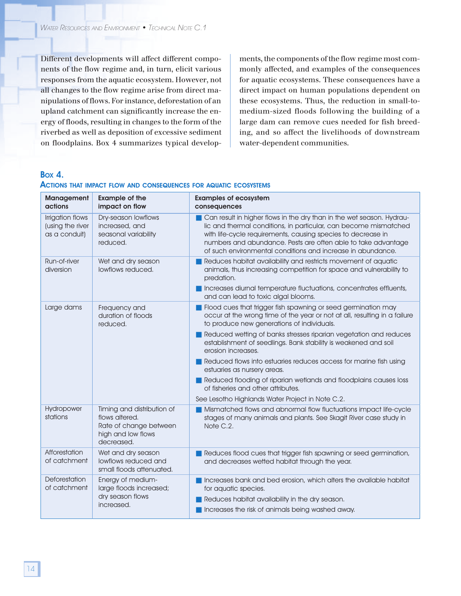Different developments will affect different components of the flow regime and, in turn, elicit various responses from the aquatic ecosystem. However, not all changes to the flow regime arise from direct manipulations of flows. For instance, deforestation of an upland catchment can significantly increase the energy of floods, resulting in changes to the form of the riverbed as well as deposition of excessive sediment on floodplains. Box 4 summarizes typical developments, the components of the flow regime most commonly affected, and examples of the consequences for aquatic ecosystems. These consequences have a direct impact on human populations dependent on these ecosystems. Thus, the reduction in small-tomedium-sized floods following the building of a large dam can remove cues needed for fish breeding, and so affect the livelihoods of downstream water-dependent communities.

### BOX 4.

| <b>Management</b><br>actions                          | <b>Example of the</b><br>impact on flow                                                                    | <b>Examples of ecosystem</b><br>consequences                                                                                                                                                                                                                                                                                              |
|-------------------------------------------------------|------------------------------------------------------------------------------------------------------------|-------------------------------------------------------------------------------------------------------------------------------------------------------------------------------------------------------------------------------------------------------------------------------------------------------------------------------------------|
| Irrigation flows<br>(using the river<br>as a conduit) | Dry-season lowflows<br>increased, and<br>seasonal variability<br>reduced.                                  | Can result in higher flows in the dry than in the wet season. Hydrau-<br>lic and thermal conditions, in particular, can become mismatched<br>with life-cycle requirements, causing species to decrease in<br>numbers and abundance. Pests are often able to take advantage<br>of such environmental conditions and increase in abundance. |
| Run-of-river<br>diversion                             | Wet and dry season<br>lowflows reduced.                                                                    | Reduces habitat availability and restricts movement of aquatic<br>animals, thus increasing competition for space and vulnerability to<br>predation.                                                                                                                                                                                       |
|                                                       |                                                                                                            | Increases diurnal temperature fluctuations, concentrates effluents,<br>and can lead to toxic algal blooms.                                                                                                                                                                                                                                |
| Large dams                                            | Frequency and<br>duration of floods<br>reduced.                                                            | Flood cues that trigger fish spawning or seed germination may<br>occur at the wrong time of the year or not at all, resulting in a failure<br>to produce new generations of individuals.                                                                                                                                                  |
|                                                       |                                                                                                            | Reduced wetting of banks stresses riparian vegetation and reduces<br>establishment of seedlings. Bank stability is weakened and soil<br>erosion increases.                                                                                                                                                                                |
|                                                       |                                                                                                            | Reduced flows into estuaries reduces access for marine fish using<br>estuaries as nursery areas.                                                                                                                                                                                                                                          |
|                                                       |                                                                                                            | Reduced flooding of riparian wetlands and floodplains causes loss<br>of fisheries and other attributes.                                                                                                                                                                                                                                   |
|                                                       |                                                                                                            | See Lesotho Highlands Water Project in Note C.2.                                                                                                                                                                                                                                                                                          |
| Hydropower<br>stations                                | Timing and distribution of<br>flows altered.<br>Rate of change between<br>high and low flows<br>decreased. | Mismatched flows and abnormal flow fluctuations impact life-cycle<br>stages of many animals and plants. See Skagit River case study in<br>Note C.2.                                                                                                                                                                                       |
| Afforestation<br>of catchment                         | Wet and dry season<br>lowflows reduced and<br>small floods attenuated.                                     | Reduces flood cues that trigger fish spawning or seed germination,<br>and decreases wetted habitat through the year.                                                                                                                                                                                                                      |
| Deforestation<br>of catchment                         | Energy of medium-<br>large floods increased;                                                               | Increases bank and bed erosion, which alters the available habitat<br>for aquatic species.                                                                                                                                                                                                                                                |
|                                                       | dry season flows<br>increased.                                                                             | Reduces habitat availability in the dry season.                                                                                                                                                                                                                                                                                           |
|                                                       |                                                                                                            | Increases the risk of animals being washed away.                                                                                                                                                                                                                                                                                          |

#### ACTIONS THAT IMPACT FLOW AND CONSEQUENCES FOR AQUATIC ECOSYSTEMS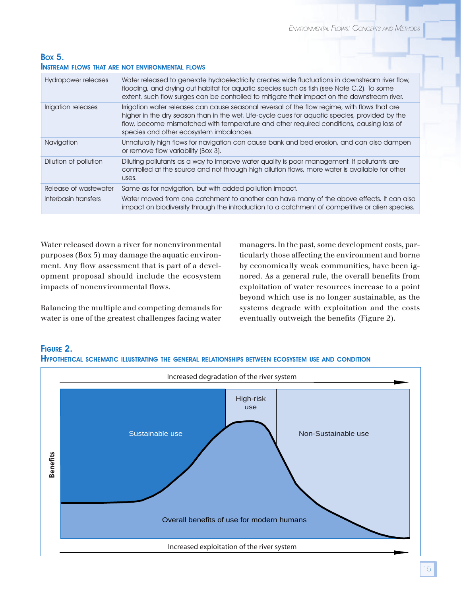### BOX 5. INSTREAM FLOWS THAT ARE NOT ENVIRONMENTAL FLOWS

| Hydropower releases   | Water released to generate hydroelectricity creates wide fluctuations in downstream river flow,<br>flooding, and drying out habitat for aquatic species such as fish (see Note C.2). To some<br>extent, such flow surges can be controlled to mitigate their impact on the downstream river.                                          |
|-----------------------|---------------------------------------------------------------------------------------------------------------------------------------------------------------------------------------------------------------------------------------------------------------------------------------------------------------------------------------|
| Irrigation releases   | Irrigation water releases can cause seasonal reversal of the flow regime, with flows that are<br>higher in the dry season than in the wet. Life-cycle cues for aquatic species, provided by the<br>flow, become mismatched with temperature and other required conditions, causing loss of<br>species and other ecosystem imbalances. |
| Navigation            | Unnaturally high flows for navigation can cause bank and bed erosion, and can also dampen<br>or remove flow variability (Box 3).                                                                                                                                                                                                      |
| Dilution of pollution | Diluting pollutants as a way to improve water quality is poor management. If pollutants are<br>controlled at the source and not through high dilution flows, more water is available for other<br>uses.                                                                                                                               |
| Release of wastewater | Same as for navigation, but with added pollution impact.                                                                                                                                                                                                                                                                              |
| Interbasin transfers  | Water moved from one catchment to another can have many of the above effects. It can also<br>impact on biodiversity through the introduction to a catchment of competitive or alien species.                                                                                                                                          |
|                       |                                                                                                                                                                                                                                                                                                                                       |

Water released down a river for nonenvironmental purposes (Box 5) may damage the aquatic environment. Any flow assessment that is part of a development proposal should include the ecosystem impacts of nonenvironmental flows.

Balancing the multiple and competing demands for water is one of the greatest challenges facing water managers. In the past, some development costs, particularly those affecting the environment and borne by economically weak communities, have been ignored. As a general rule, the overall benefits from exploitation of water resources increase to a point beyond which use is no longer sustainable, as the systems degrade with exploitation and the costs eventually outweigh the benefits (Figure 2).



### FIGURE 2.

HYPOTHETICAL SCHEMATIC ILLUSTRATING THE GENERAL RELATIONSHIPS BETWEEN ECOSYSTEM USE AND CONDITION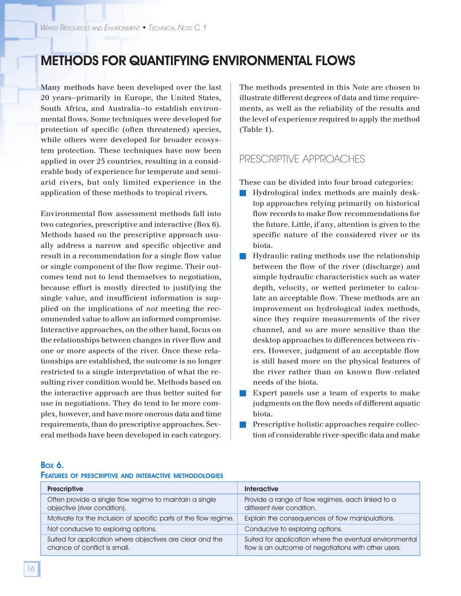### METHODS FOR QUANTIFYING ENVIRONMENTAL FLOWS

Many methods have been developed over the last 20 years—primarily in Europe, the United States, South Africa, and Australia—to establish environmental flows. Some techniques were developed for protection of specific (often threatened) species, while others were developed for broader ecosystem protection. These techniques have now been applied in over 25 countries, resulting in a considerable body of experience for temperate and semiarid rivers, but only limited experience in the application of these methods to tropical rivers.

Environmental flow assessment methods fall into two categories, prescriptive and interactive (Box 6). Methods based on the prescriptive approach usually address a narrow and specific objective and result in a recommendation for a single flow value or single component of the flow regime. Their outcomes tend not to lend themselves to negotiation, because effort is mostly directed to justifying the single value, and insufficient information is supplied on the implications of *not* meeting the recommended value to allow an informed compromise. Interactive approaches, on the other hand, focus on the relationships between changes in river flow and one or more aspects of the river. Once these relationships are established, the outcome is no longer restricted to a single interpretation of what the resulting river condition would be. Methods based on the interactive approach are thus better suited for use in negotiations. They do tend to be more complex, however, and have more onerous data and time requirements, than do prescriptive approaches. Several methods have been developed in each category.

The methods presented in this Note are chosen to illustrate different degrees of data and time requirements, as well as the reliability of the results and the level of experience required to apply the method (Table 1).

### PRESCRIPTIVE APPROACHES

These can be divided into four broad categories:

- Hydrological index methods are mainly desktop approaches relying primarily on historical flow records to make flow recommendations for the future. Little, if any, attention is given to the specific nature of the considered river or its biota.
- Hydraulic rating methods use the relationship between the flow of the river (discharge) and simple hydraulic characteristics such as water depth, velocity, or wetted perimeter to calculate an acceptable flow. These methods are an improvement on hydrological index methods, since they require measurements of the river channel, and so are more sensitive than the desktop approaches to differences between rivers. However, judgment of an acceptable flow is still based more on the physical features of the river rather than on known flow-related needs of the biota.
- Expert panels use a team of experts to make judgments on the flow needs of different aquatic biota.
- **EXPRESCRIPTIVE holistic approaches require collec**tion of considerable river-specific data and make

### BOX 6.

#### FEATURES OF PRESCRIPTIVE AND INTERACTIVE METHODOLOGIES

| <b>Prescriptive</b>                                                                       | <b>Interactive</b>                                                                                              |
|-------------------------------------------------------------------------------------------|-----------------------------------------------------------------------------------------------------------------|
| Often provide a single flow regime to maintain a single<br>objective (river condition).   | Provide a range of flow regimes, each linked to a<br>different river condition.                                 |
| Motivate for the inclusion of specific parts of the flow regime.                          | Explain the consequences of flow manipulations.                                                                 |
| Not conducive to exploring options.                                                       | Conducive to exploring options.                                                                                 |
| Suited for application where objectives are clear and the<br>chance of conflict is small. | Suited for application where the eventual environmental<br>flow is an outcome of negotiations with other users. |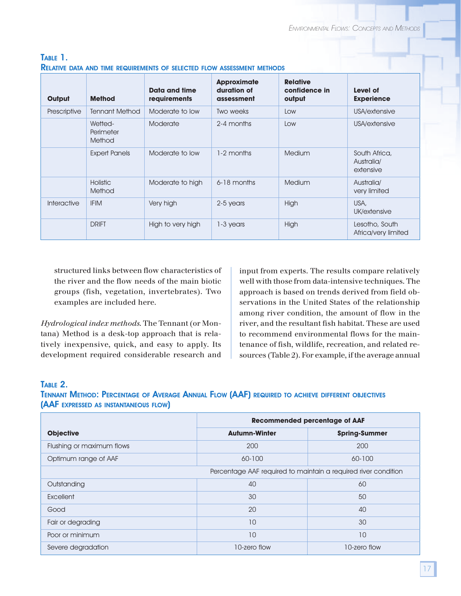| Output       | <b>Method</b>                  | Data and time<br><b>requirements</b> | <b>Approximate</b><br>duration of<br>assessment | <b>Relative</b><br>confidence in<br>output | Level of<br><b>Experience</b>            |
|--------------|--------------------------------|--------------------------------------|-------------------------------------------------|--------------------------------------------|------------------------------------------|
| Prescriptive | <b>Tennant Method</b>          | Moderate to low                      | Two weeks                                       | Low                                        | USA/extensive                            |
|              | Wetted-<br>Perimeter<br>Method | Moderate                             | 2-4 months                                      | Low                                        | USA/extensive                            |
|              | <b>Expert Panels</b>           | Moderate to low                      | 1-2 months                                      | Medium                                     | South Africa,<br>Australia/<br>extensive |
|              | <b>Holistic</b><br>Method      | Moderate to high                     | 6-18 months                                     | Medium                                     | Australia/<br>very limited               |
| Interactive  | <b>IFIM</b>                    | Very high                            | 2-5 years                                       | High                                       | USA,<br>UK/extensive                     |
|              | <b>DRIFT</b>                   | High to very high                    | $1-3$ years                                     | High                                       | Lesotho, South<br>Africa/very limited    |

### TABLE 1. RELATIVE DATA AND TIME REQUIREMENTS OF SELECTED FLOW ASSESSMENT METHODS

structured links between flow characteristics of the river and the flow needs of the main biotic groups (fish, vegetation, invertebrates). Two examples are included here.

*Hydrological index methods*. The Tennant (or Montana) Method is a desk-top approach that is relatively inexpensive, quick, and easy to apply. Its development required considerable research and input from experts. The results compare relatively well with those from data-intensive techniques. The approach is based on trends derived from field observations in the United States of the relationship among river condition, the amount of flow in the river, and the resultant fish habitat. These are used to recommend environmental flows for the maintenance of fish, wildlife, recreation, and related resources (Table 2). For example, if the average annual

### TABLE 2.

### TENNANT METHOD: PERCENTAGE OF AVERAGE ANNUAL FLOW (AAF) REQUIRED TO ACHIEVE DIFFERENT OBJECTIVES (AAF EXPRESSED AS INSTANTANEOUS FLOW)

|                           | <b>Recommended percentage of AAF</b>                           |                      |
|---------------------------|----------------------------------------------------------------|----------------------|
| <b>Objective</b>          | <b>Autumn-Winter</b>                                           | <b>Spring-Summer</b> |
| Flushing or maximum flows | 200                                                            | 200                  |
| Optimum range of AAF      | 60-100                                                         | 60-100               |
|                           | Percentage AAF required to maintain a required river condition |                      |
| Outstanding               | 40                                                             | 60                   |
| Excellent                 | 30                                                             | 50                   |
| Good                      | 20                                                             | 40                   |
| Fair or degrading         | 10                                                             | 30                   |
| Poor or minimum           | 10                                                             | 10                   |
| Severe degradation        | 10-zero flow                                                   | 10-zero flow         |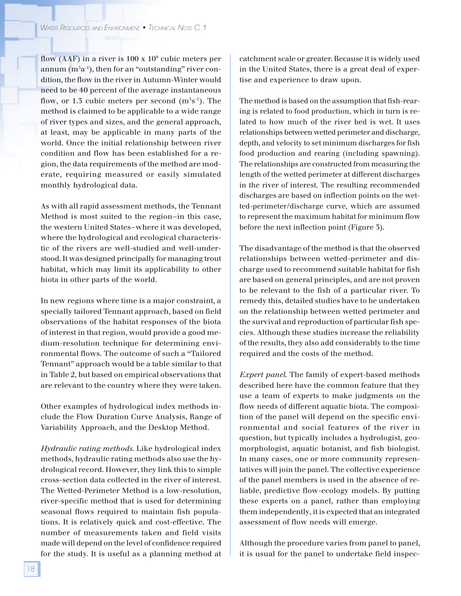flow (AAF) in a river is 100 x  $10^6$  cubic meters per annum (m $5a^{\text{-}1}$ ), then for an "outstanding" river condition, the flow in the river in Autumn-Winter would need to be 40 percent of the average instantaneous flow, or 1.3 cubic meters per second  $(m^3s^{\text{-}1})$ . The method is claimed to be applicable to a wide range of river types and sizes, and the general approach, at least, may be applicable in many parts of the world. Once the initial relationship between river condition and flow has been established for a region, the data requirements of the method are moderate, requiring measured or easily simulated monthly hydrological data.

As with all rapid assessment methods, the Tennant Method is most suited to the region—in this case, the western United States—where it was developed, where the hydrological and ecological characteristic of the rivers are well-studied and well-understood. It was designed principally for managing trout habitat, which may limit its applicability to other biota in other parts of the world.

In new regions where time is a major constraint, a specially tailored Tennant approach, based on field observations of the habitat responses of the biota of interest in that region, would provide a good medium-resolution technique for determining environmental flows. The outcome of such a "Tailored Tennant" approach would be a table similar to that in Table 2, but based on empirical observations that are relevant to the country where they were taken.

Other examples of hydrological index methods include the Flow Duration Curve Analysis, Range of Variability Approach, and the Desktop Method.

*Hydraulic rating methods*. Like hydrological index methods, hydraulic rating methods also use the hydrological record. However, they link this to simple cross-section data collected in the river of interest. The Wetted-Perimeter Method is a low-resolution, river-specific method that is used for determining seasonal flows required to maintain fish populations. It is relatively quick and cost-effective. The number of measurements taken and field visits made will depend on the level of confidence required for the study. It is useful as a planning method at

catchment scale or greater. Because it is widely used in the United States, there is a great deal of expertise and experience to draw upon.

The method is based on the assumption that fish-rearing is related to food production, which in turn is related to how much of the river bed is wet. It uses relationships between wetted perimeter and discharge, depth, and velocity to set minimum discharges for fish food production and rearing (including spawning). The relationships are constructed from measuring the length of the wetted perimeter at different discharges in the river of interest. The resulting recommended discharges are based on inflection points on the wetted-perimeter/discharge curve, which are assumed to represent the maximum habitat for minimum flow before the next inflection point (Figure 3).

The disadvantage of the method is that the observed relationships between wetted-perimeter and discharge used to recommend suitable habitat for fish are based on general principles, and are not proven to be relevant to the fish of a particular river. To remedy this, detailed studies have to be undertaken on the relationship between wetted perimeter and the survival and reproduction of particular fish species. Although these studies increase the reliability of the results, they also add considerably to the time required and the costs of the method.

*Expert panel*. The family of expert-based methods described here have the common feature that they use a team of experts to make judgments on the flow needs of different aquatic biota. The composition of the panel will depend on the specific environmental and social features of the river in question, but typically includes a hydrologist, geomorphologist, aquatic botanist, and fish biologist. In many cases, one or more community representatives will join the panel. The collective experience of the panel members is used in the absence of reliable, predictive flow-ecology models. By putting these experts on a panel, rather than employing them independently, it is expected that an integrated assessment of flow needs will emerge.

Although the procedure varies from panel to panel, it is usual for the panel to undertake field inspec-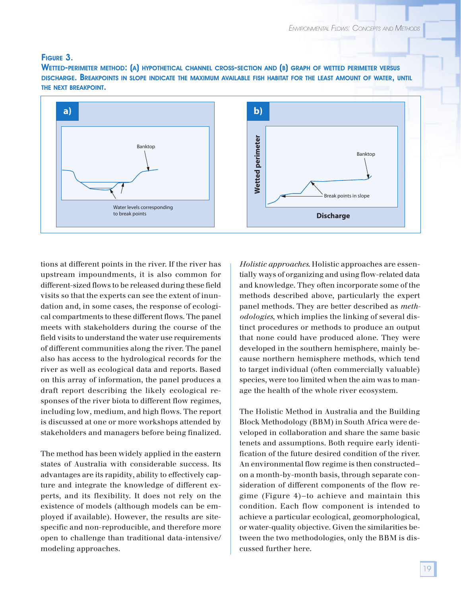### FIGURE 3.

WETTED-PERIMETER METHOD: (A) HYPOTHETICAL CHANNEL CROSS-SECTION AND (B) GRAPH OF WETTED PERIMETER VERSUS DISCHARGE. BREAKPOINTS IN SLOPE INDICATE THE MAXIMUM AVAILABLE FISH HABITAT FOR THE LEAST AMOUNT OF WATER, UNTIL THE NEXT BREAKPOINT.



tions at different points in the river. If the river has upstream impoundments, it is also common for different-sized flows to be released during these field visits so that the experts can see the extent of inundation and, in some cases, the response of ecological compartments to these different flows. The panel meets with stakeholders during the course of the field visits to understand the water use requirements of different communities along the river. The panel also has access to the hydrological records for the river as well as ecological data and reports. Based on this array of information, the panel produces a draft report describing the likely ecological responses of the river biota to different flow regimes, including low, medium, and high flows. The report is discussed at one or more workshops attended by stakeholders and managers before being finalized.

The method has been widely applied in the eastern states of Australia with considerable success. Its advantages are its rapidity, ability to effectively capture and integrate the knowledge of different experts, and its flexibility. It does not rely on the existence of models (although models can be employed if available). However, the results are sitespecific and non-reproducible, and therefore more open to challenge than traditional data-intensive/ modeling approaches.

*Holistic approaches*. Holistic approaches are essentially ways of organizing and using flow-related data and knowledge. They often incorporate some of the methods described above, particularly the expert panel methods. They are better described as *methodologies*, which implies the linking of several distinct procedures or methods to produce an output that none could have produced alone. They were developed in the southern hemisphere, mainly because northern hemisphere methods, which tend to target individual (often commercially valuable) species, were too limited when the aim was to manage the health of the whole river ecosystem.

The Holistic Method in Australia and the Building Block Methodology (BBM) in South Africa were developed in collaboration and share the same basic tenets and assumptions. Both require early identification of the future desired condition of the river. An environmental flow regime is then constructed on a month-by-month basis, through separate consideration of different components of the flow regime (Figure 4)—to achieve and maintain this condition. Each flow component is intended to achieve a particular ecological, geomorphological, or water-quality objective. Given the similarities between the two methodologies, only the BBM is discussed further here.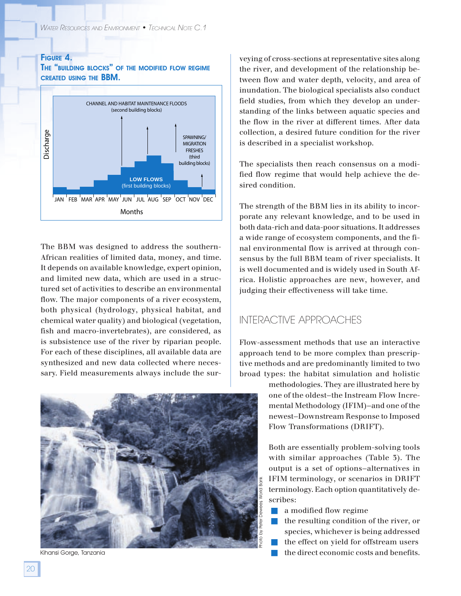### FIGURE 4.

THE "BUILDING BLOCKS" OF THE MODIFIED FLOW REGIME CREATED USING THE BBM.



The BBM was designed to address the southern-African realities of limited data, money, and time. It depends on available knowledge, expert opinion, and limited new data, which are used in a structured set of activities to describe an environmental flow. The major components of a river ecosystem, both physical (hydrology, physical habitat, and chemical water quality) and biological (vegetation, fish and macro-invertebrates), are considered, as is subsistence use of the river by riparian people. For each of these disciplines, all available data are synthesized and new data collected where necessary. Field measurements always include the sur-



veying of cross-sections at representative sites along the river, and development of the relationship between flow and water depth, velocity, and area of inundation. The biological specialists also conduct field studies, from which they develop an understanding of the links between aquatic species and the flow in the river at different times. After data collection, a desired future condition for the river is described in a specialist workshop.

The specialists then reach consensus on a modified flow regime that would help achieve the desired condition.

The strength of the BBM lies in its ability to incorporate any relevant knowledge, and to be used in both data-rich and data-poor situations. It addresses a wide range of ecosystem components, and the final environmental flow is arrived at through consensus by the full BBM team of river specialists. It is well documented and is widely used in South Africa. Holistic approaches are new, however, and judging their effectiveness will take time.

### INTERACTIVE APPROACHES

Flow-assessment methods that use an interactive approach tend to be more complex than prescriptive methods and are predominantly limited to two broad types: the habitat simulation and holistic

> methodologies. They are illustrated here by one of the oldest—the Instream Flow Incremental Methodology (IFIM)—and one of the newest—Downstream Response to Imposed Flow Transformations (DRIFT).

> Both are essentially problem-solving tools with similar approaches (Table 3). The output is a set of options—alternatives in IFIM terminology, or scenarios in DRIFT terminology. Each option quantitatively describes:

- a modified flow regime
- the resulting condition of the river, or species, whichever is being addressed
- the effect on yield for offstream users
-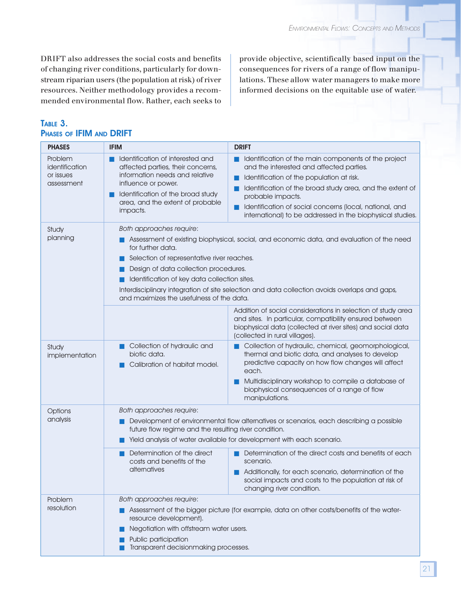DRIFT also addresses the social costs and benefits of changing river conditions, particularly for downstream riparian users (the population at risk) of river resources. Neither methodology provides a recommended environmental flow. Rather, each seeks to provide objective, scientifically based input on the consequences for rivers of a range of flow manipulations. These allow water managers to make more informed decisions on the equitable use of water.

### TABLE 3. PHASES OF IFIM AND DRIFT

| <b>PHASES</b>                                                                                                                                                                                                                                                                                                                                                                                                                                        | <b>IFIM</b>                                                                                                                                                                                                         | <b>DRIFT</b>                                                                                                                                                                                                                                                                                                                                             |
|------------------------------------------------------------------------------------------------------------------------------------------------------------------------------------------------------------------------------------------------------------------------------------------------------------------------------------------------------------------------------------------------------------------------------------------------------|---------------------------------------------------------------------------------------------------------------------------------------------------------------------------------------------------------------------|----------------------------------------------------------------------------------------------------------------------------------------------------------------------------------------------------------------------------------------------------------------------------------------------------------------------------------------------------------|
| Problem<br>identification<br>or issues<br>assessment                                                                                                                                                                                                                                                                                                                                                                                                 | Identification of interested and<br>affected parties, their concerns,<br>information needs and relative<br>influence or power.<br>Identification of the broad study<br>area, and the extent of probable<br>impacts. | Identification of the main components of the project<br>and the interested and affected parties.<br>Identification of the population at risk.<br>Identification of the broad study area, and the extent of<br>probable impacts.<br>Identification of social concerns (local, national, and<br>international) to be addressed in the biophysical studies. |
| Both approaches require:<br>Study<br>planning<br>Assessment of existing biophysical, social, and economic data, and evaluation of the need<br>for further data.<br>Selection of representative river reaches.<br>Design of data collection procedures.<br>Identification of key data collection sites.<br>Interdisciplinary integration of site selection and data collection avoids overlaps and gaps,<br>and maximizes the usefulness of the data. |                                                                                                                                                                                                                     |                                                                                                                                                                                                                                                                                                                                                          |
|                                                                                                                                                                                                                                                                                                                                                                                                                                                      |                                                                                                                                                                                                                     | Addition of social considerations in selection of study area<br>and sites. In particular, compatibility ensured between<br>biophysical data (collected at river sites) and social data<br>(collected in rural villages).                                                                                                                                 |
| Study<br>implementation                                                                                                                                                                                                                                                                                                                                                                                                                              | Collection of hydraulic and<br>biotic data.<br>Calibration of habitat model.                                                                                                                                        | Collection of hydraulic, chemical, geomorphological,<br>thermal and biotic data, and analyses to develop<br>predictive capacity on how flow changes will affect<br>each.<br>Multidisciplinary workshop to compile a database of<br>biophysical consequences of a range of flow<br>manipulations.                                                         |
| Options<br>analysis                                                                                                                                                                                                                                                                                                                                                                                                                                  | Both approaches require:<br>future flow regime and the resulting river condition.                                                                                                                                   | Development of environmental flow alternatives or scenarios, each describing a possible<br>Yield analysis of water available for development with each scenario.                                                                                                                                                                                         |
|                                                                                                                                                                                                                                                                                                                                                                                                                                                      | Determination of the direct<br>costs and benefits of the<br>alternatives                                                                                                                                            | Determination of the direct costs and benefits of each<br>scenario.<br>Additionally, for each scenario, determination of the<br>social impacts and costs to the population at risk of<br>changing river condition.                                                                                                                                       |
| Problem<br>resolution                                                                                                                                                                                                                                                                                                                                                                                                                                | Both approaches require:<br>resource development).<br>Negotiation with offstream water users.<br>Public participation<br>Transparent decisionmaking processes.                                                      | Assessment of the bigger picture (for example, data on other costs/benefits of the water-                                                                                                                                                                                                                                                                |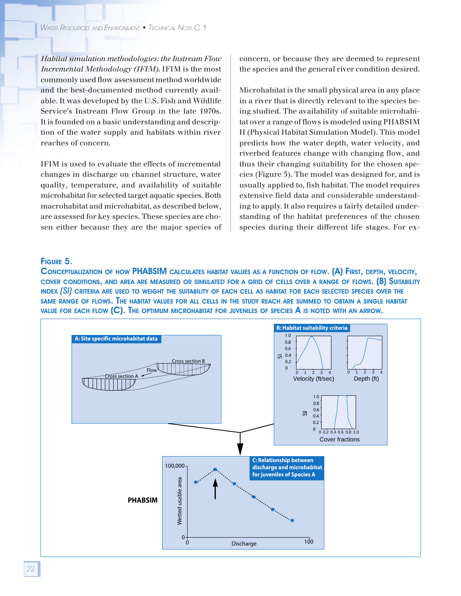*Habitat simulation methodologies: the Instream Flow Incremental Methodology (IFIM)*. IFIM is the most commonly used flow assessment method worldwide and the best-documented method currently available. It was developed by the U.S. Fish and Wildlife Service's Instream Flow Group in the late 1970s. It is founded on a basic understanding and description of the water supply and habitats within river reaches of concern.

IFIM is used to evaluate the effects of incremental changes in discharge on channel structure, water quality, temperature, and availability of suitable microhabitat for selected target aquatic species. Both macrohabitat and microhabitat, as described below, are assessed for key species. These species are chosen either because they are the major species of concern, or because they are deemed to represent the species and the general river condition desired.

Microhabitat is the small physical area in any place in a river that is directly relevant to the species being studied. The availability of suitable microhabitat over a range of flows is modeled using PHABSIM II (Physical Habitat Simulation Model). This model predicts how the water depth, water velocity, and riverbed features change with changing flow, and thus their changing suitability for the chosen species (Figure 5). The model was designed for, and is usually applied to, fish habitat. The model requires extensive field data and considerable understanding to apply. It also requires a fairly detailed understanding of the habitat preferences of the chosen species during their different life stages. For ex-

### FIGURE 5.

CONCEPTUALIZATION OF HOW PHABSIM CALCULATES HABITAT VALUES AS <sup>A</sup> FUNCTION OF FLOW. (A) FIRST, DEPTH, VELOCITY, COVER CONDITIONS, AND AREA ARE MEASURED OR SIMULATED FOR <sup>A</sup> GRID OF CELLS OVER <sup>A</sup> RANGE OF FLOWS. (B) SUITABILITY INDEX *(SI)* CRITERIA ARE USED TO WEIGHT THE SUITABILITY OF EACH CELL AS HABITAT FOR EACH SELECTED SPECIES OVER THE SAME RANGE OF FLOWS. THE HABITAT VALUES FOR ALL CELLS IN THE STUDY REACH ARE SUMMED TO OBTAIN <sup>A</sup> SINGLE HABITAT VALUE FOR EACH FLOW (C). THE OPTIMUM MICROHABITAT FOR JUVENILES OF SPECIES A IS NOTED WITH AN ARROW.

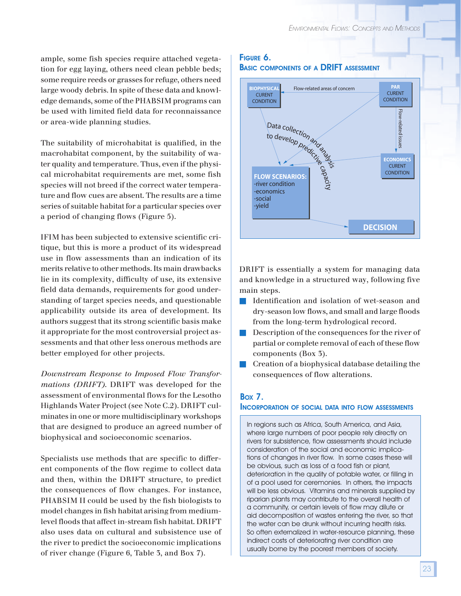ample, some fish species require attached vegetation for egg laying, others need clean pebble beds; some require reeds or grasses for refuge, others need large woody debris. In spite of these data and knowledge demands, some of the PHABSIM programs can be used with limited field data for reconnaissance or area-wide planning studies.

The suitability of microhabitat is qualified, in the macrohabitat component, by the suitability of water quality and temperature. Thus, even if the physical microhabitat requirements are met, some fish species will not breed if the correct water temperature and flow cues are absent. The results are a time series of suitable habitat for a particular species over a period of changing flows (Figure 5).

IFIM has been subjected to extensive scientific critique, but this is more a product of its widespread use in flow assessments than an indication of its merits relative to other methods. Its main drawbacks lie in its complexity, difficulty of use, its extensive field data demands, requirements for good understanding of target species needs, and questionable applicability outside its area of development. Its authors suggest that its strong scientific basis make it appropriate for the most controversial project assessments and that other less onerous methods are better employed for other projects.

*Downstream Response to Imposed Flow Transformations (DRIFT)*. DRIFT was developed for the assessment of environmental flows for the Lesotho Highlands Water Project (see Note C.2). DRIFT culminates in one or more multidisciplinary workshops that are designed to produce an agreed number of biophysical and socioeconomic scenarios.

Specialists use methods that are specific to different components of the flow regime to collect data and then, within the DRIFT structure, to predict the consequences of flow changes. For instance, PHABSIM II could be used by the fish biologists to model changes in fish habitat arising from mediumlevel floods that affect in-stream fish habitat. DRIFT also uses data on cultural and subsistence use of the river to predict the socioeconomic implications of river change (Figure 6, Table 3, and Box 7).

### FIGURE 6. BASIC COMPONENTS OF A DRIFT ASSESSMENT



DRIFT is essentially a system for managing data and knowledge in a structured way, following five main steps.

- Identification and isolation of wet-season and dry-season low flows, and small and large floods from the long-term hydrological record.
- Description of the consequences for the river of partial or complete removal of each of these flow components (Box 3).
- Creation of a biophysical database detailing the consequences of flow alterations.

### BOX 7.

#### INCORPORATION OF SOCIAL DATA INTO FLOW ASSESSMENTS

In regions such as Africa, South America, and Asia, where large numbers of poor people rely directly on rivers for subsistence, flow assessments should include consideration of the social and economic implications of changes in river flow. In some cases these will be obvious, such as loss of a food fish or plant, deterioration in the quality of potable water, or filling in of a pool used for ceremonies. In others, the impacts will be less obvious. Vitamins and minerals supplied by riparian plants may contribute to the overall health of a community, or certain levels of flow may dilute or aid decomposition of wastes entering the river, so that the water can be drunk without incurring health risks. So often externalized in water-resource planning, these indirect costs of deteriorating river condition are usually borne by the poorest members of society.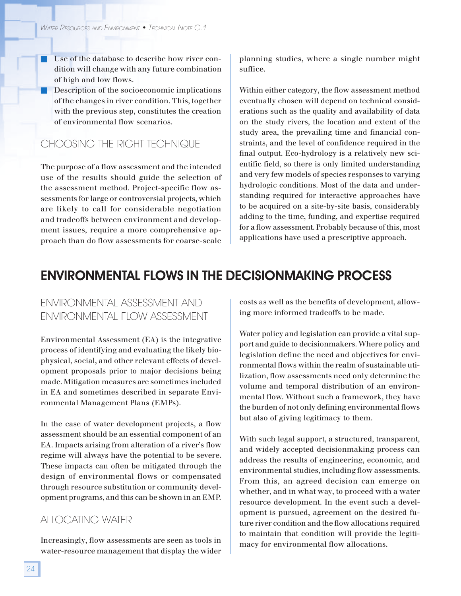■ Use of the database to describe how river condition will change with any future combination of high and low flows.

■ Description of the socioeconomic implications of the changes in river condition. This, together with the previous step, constitutes the creation of environmental flow scenarios.

### CHOOSING THE RIGHT TECHNIQUE

The purpose of a flow assessment and the intended use of the results should guide the selection of the assessment method. Project-specific flow assessments for large or controversial projects, which are likely to call for considerable negotiation and tradeoffs between environment and development issues, require a more comprehensive approach than do flow assessments for coarse-scale

planning studies, where a single number might suffice.

Within either category, the flow assessment method eventually chosen will depend on technical considerations such as the quality and availability of data on the study rivers, the location and extent of the study area, the prevailing time and financial constraints, and the level of confidence required in the final output. Eco-hydrology is a relatively new scientific field, so there is only limited understanding and very few models of species responses to varying hydrologic conditions. Most of the data and understanding required for interactive approaches have to be acquired on a site-by-site basis, considerably adding to the time, funding, and expertise required for a flow assessment. Probably because of this, most applications have used a prescriptive approach.

### ENVIRONMENTAL FLOWS IN THE DECISIONMAKING PROCESS

### ENVIRONMENTAL ASSESSMENT AND ENVIRONMENTAL FLOW ASSESSMENT

Environmental Assessment (EA) is the integrative process of identifying and evaluating the likely biophysical, social, and other relevant effects of development proposals prior to major decisions being made. Mitigation measures are sometimes included in EA and sometimes described in separate Environmental Management Plans (EMPs).

In the case of water development projects, a flow assessment should be an essential component of an EA. Impacts arising from alteration of a river's flow regime will always have the potential to be severe. These impacts can often be mitigated through the design of environmental flows or compensated through resource substitution or community development programs, and this can be shown in an EMP.

### ALLOCATING WATER

Increasingly, flow assessments are seen as tools in water-resource management that display the wider

costs as well as the benefits of development, allowing more informed tradeoffs to be made.

Water policy and legislation can provide a vital support and guide to decisionmakers. Where policy and legislation define the need and objectives for environmental flows within the realm of sustainable utilization, flow assessments need only determine the volume and temporal distribution of an environmental flow. Without such a framework, they have the burden of not only defining environmental flows but also of giving legitimacy to them.

With such legal support, a structured, transparent, and widely accepted decisionmaking process can address the results of engineering, economic, and environmental studies, including flow assessments. From this, an agreed decision can emerge on whether, and in what way, to proceed with a water resource development. In the event such a development is pursued, agreement on the desired future river condition and the flow allocations required to maintain that condition will provide the legitimacy for environmental flow allocations.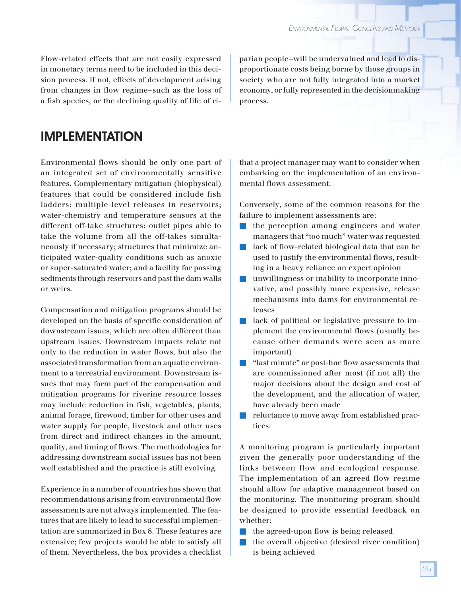Flow-related effects that are not easily expressed in monetary terms need to be included in this decision process. If not, effects of development arising from changes in flow regime—such as the loss of a fish species, or the declining quality of life of riparian people—will be undervalued and lead to disproportionate costs being borne by those groups in society who are not fully integrated into a market economy, or fully represented in the decisionmaking process.

### IMPLEMENTATION

Environmental flows should be only one part of an integrated set of environmentally sensitive features. Complementary mitigation (biophysical) features that could be considered include fish ladders; multiple-level releases in reservoirs; water-chemistry and temperature sensors at the different off-take structures; outlet pipes able to take the volume from all the off-takes simultaneously if necessary; structures that minimize anticipated water-quality conditions such as anoxic or super-saturated water; and a facility for passing sediments through reservoirs and past the dam walls or weirs.

Compensation and mitigation programs should be developed on the basis of specific consideration of downstream issues, which are often different than upstream issues. Downstream impacts relate not only to the reduction in water flows, but also the associated transformation from an aquatic environment to a terrestrial environment. Downstream issues that may form part of the compensation and mitigation programs for riverine resource losses may include reduction in fish, vegetables, plants, animal forage, firewood, timber for other uses and water supply for people, livestock and other uses from direct and indirect changes in the amount, quality, and timing of flows. The methodologies for addressing downstream social issues has not been well established and the practice is still evolving.

Experience in a number of countries has shown that recommendations arising from environmental flow assessments are not always implemented. The features that are likely to lead to successful implementation are summarized in Box 8. These features are extensive; few projects would be able to satisfy all of them. Nevertheless, the box provides a checklist

that a project manager may want to consider when embarking on the implementation of an environmental flows assessment.

Conversely, some of the common reasons for the failure to implement assessments are:

- the perception among engineers and water managers that "too much" water was requested
- lack of flow-related biological data that can be used to justify the environmental flows, resulting in a heavy reliance on expert opinion
- unwillingness or inability to incorporate innovative, and possibly more expensive, release mechanisms into dams for environmental releases
- lack of political or legislative pressure to implement the environmental flows (usually because other demands were seen as more important)
- "last minute" or post-hoc flow assessments that are commissioned after most (if not all) the major decisions about the design and cost of the development, and the allocation of water, have already been made
- reluctance to move away from established practices.

A monitoring program is particularly important given the generally poor understanding of the links between flow and ecological response. The implementation of an agreed flow regime should allow for adaptive management based on the monitoring. The monitoring program should be designed to provide essential feedback on whether:

- the agreed-upon flow is being released
- the overall objective (desired river condition) is being achieved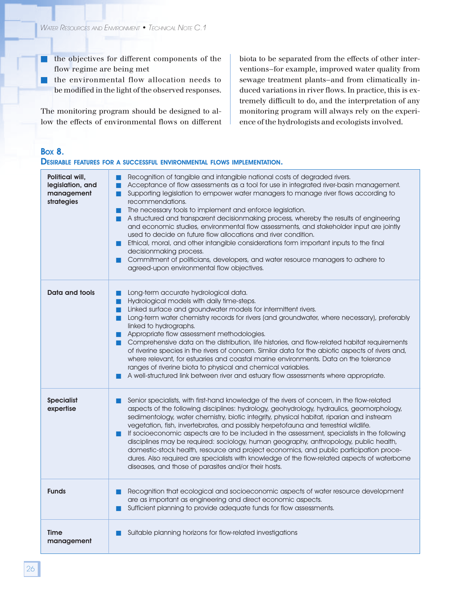- the objectives for different components of the flow regime are being met
- the environmental flow allocation needs to be modified in the light of the observed responses.

The monitoring program should be designed to allow the effects of environmental flows on different biota to be separated from the effects of other interventions—for example, improved water quality from sewage treatment plants—and from climatically induced variations in river flows. In practice, this is extremely difficult to do, and the interpretation of any monitoring program will always rely on the experience of the hydrologists and ecologists involved.

### BOX 8.

### DESIRABLE FEATURES FOR A SUCCESSFUL ENVIRONMENTAL FLOWS IMPLEMENTATION.

| Political will,<br>legislation, and<br>management<br>strategies | Recognition of tangible and intangible national costs of degraded rivers.<br>Acceptance of flow assessments as a tool for use in integrated river-basin management.<br>Supporting legislation to empower water managers to manage river flows according to<br>recommendations.<br>The necessary tools to implement and enforce legislation.<br><b>The State</b><br>A structured and transparent decisionmaking process, whereby the results of engineering<br>and economic studies, environmental flow assessments, and stakeholder input are jointly<br>used to decide on future flow allocations and river condition.<br>Ethical, moral, and other intangible considerations form important inputs to the final<br>decisionmaking process.<br>Commitment of politicians, developers, and water resource managers to adhere to<br>agreed-upon environmental flow objectives. |
|-----------------------------------------------------------------|-------------------------------------------------------------------------------------------------------------------------------------------------------------------------------------------------------------------------------------------------------------------------------------------------------------------------------------------------------------------------------------------------------------------------------------------------------------------------------------------------------------------------------------------------------------------------------------------------------------------------------------------------------------------------------------------------------------------------------------------------------------------------------------------------------------------------------------------------------------------------------|
| Data and tools                                                  | Long-term accurate hydrological data.<br>Hydrological models with daily time-steps.<br>Linked surface and groundwater models for intermittent rivers.<br>Long-term water chemistry records for rivers (and groundwater, where necessary), preferably<br>ш<br>linked to hydrographs.<br>Appropriate flow assessment methodologies.<br>Comprehensive data on the distribution, life histories, and flow-related habitat requirements<br>of riverine species in the rivers of concern. Similar data for the abiotic aspects of rivers and,<br>where relevant, for estuaries and coastal marine environments. Data on the tolerance<br>ranges of riverine biota to physical and chemical variables.<br>A well-structured link between river and estuary flow assessments where appropriate.                                                                                       |
| <b>Specialist</b><br>expertise                                  | Senior specialists, with first-hand knowledge of the rivers of concern, in the flow-related<br>aspects of the following disciplines: hydrology, geohydrology, hydraulics, geomorphology,<br>sedimentology, water chemistry, biotic integrity, physical habitat, riparian and instream<br>vegetation, fish, invertebrates, and possibly herpetofauna and terrestrial wildlife.<br>If socioeconomic aspects are to be included in the assessment, specialists in the following<br>disciplines may be required: sociology, human geography, anthropology, public health,<br>domestic-stock health, resource and project economics, and public participation proce-<br>dures. Also required are specialists with knowledge of the flow-related aspects of waterborne<br>diseases, and those of parasites and/or their hosts.                                                      |
| <b>Funds</b>                                                    | Recognition that ecological and socioeconomic aspects of water resource development<br>are as important as engineering and direct economic aspects.<br>Sufficient planning to provide adequate funds for flow assessments.                                                                                                                                                                                                                                                                                                                                                                                                                                                                                                                                                                                                                                                    |
| <b>Time</b><br>management                                       | Suitable planning horizons for flow-related investigations                                                                                                                                                                                                                                                                                                                                                                                                                                                                                                                                                                                                                                                                                                                                                                                                                    |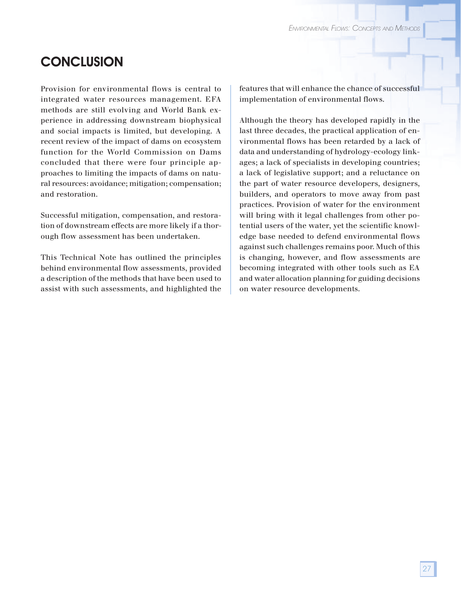### **CONCLUSION**

Provision for environmental flows is central to integrated water resources management. EFA methods are still evolving and World Bank experience in addressing downstream biophysical and social impacts is limited, but developing. A recent review of the impact of dams on ecosystem function for the World Commission on Dams concluded that there were four principle approaches to limiting the impacts of dams on natural resources: avoidance; mitigation; compensation; and restoration.

Successful mitigation, compensation, and restoration of downstream effects are more likely if a thorough flow assessment has been undertaken.

This Technical Note has outlined the principles behind environmental flow assessments, provided a description of the methods that have been used to assist with such assessments, and highlighted the

features that will enhance the chance of successful implementation of environmental flows.

Although the theory has developed rapidly in the last three decades, the practical application of environmental flows has been retarded by a lack of data and understanding of hydrology-ecology linkages; a lack of specialists in developing countries; a lack of legislative support; and a reluctance on the part of water resource developers, designers, builders, and operators to move away from past practices. Provision of water for the environment will bring with it legal challenges from other potential users of the water, yet the scientific knowledge base needed to defend environmental flows against such challenges remains poor. Much of this is changing, however, and flow assessments are becoming integrated with other tools such as EA and water allocation planning for guiding decisions on water resource developments.